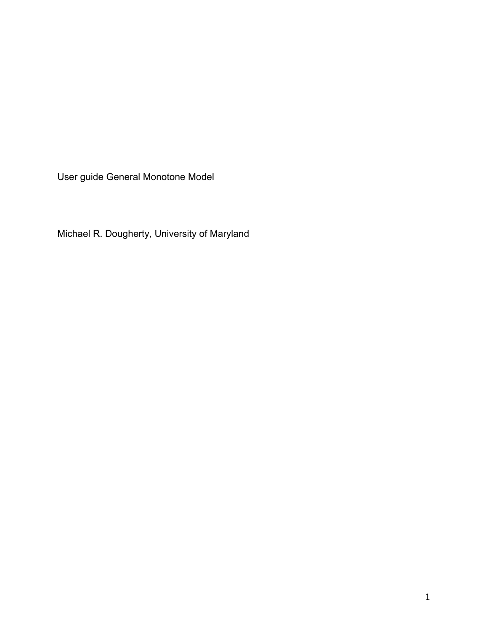User guide General Monotone Model

Michael R. Dougherty, University of Maryland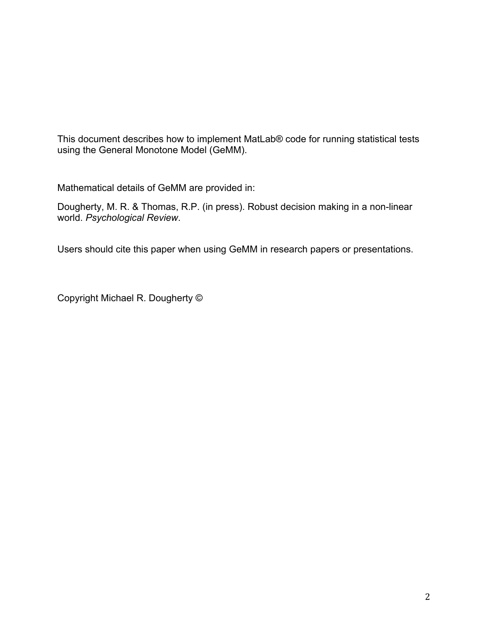This document describes how to implement MatLab® code for running statistical tests using the General Monotone Model (GeMM).

Mathematical details of GeMM are provided in:

Dougherty, M. R. & Thomas, R.P. (in press). Robust decision making in a non-linear world. *Psychological Review*.

Users should cite this paper when using GeMM in research papers or presentations.

Copyright Michael R. Dougherty ©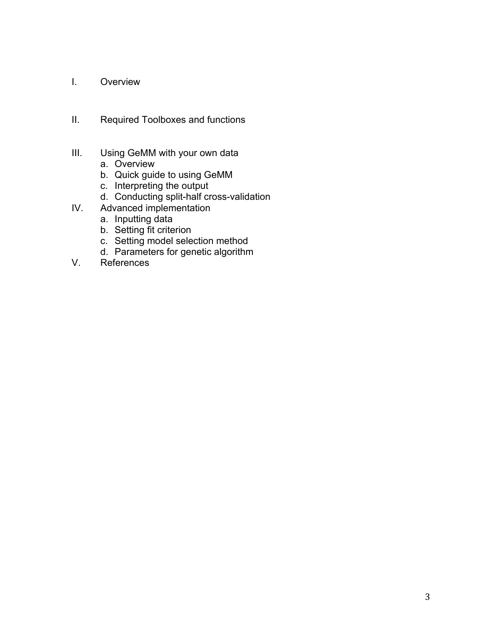- I. Overview
- II. Required Toolboxes and functions
- III. Using GeMM with your own data
	- a. Overview
	- b. Quick guide to using GeMM
	- c. Interpreting the output
	- d. Conducting split-half cross-validation
- IV. Advanced implementation
	- a. Inputting data
	- b. Setting fit criterion
	- c. Setting model selection method
	- d. Parameters for genetic algorithm
- V. References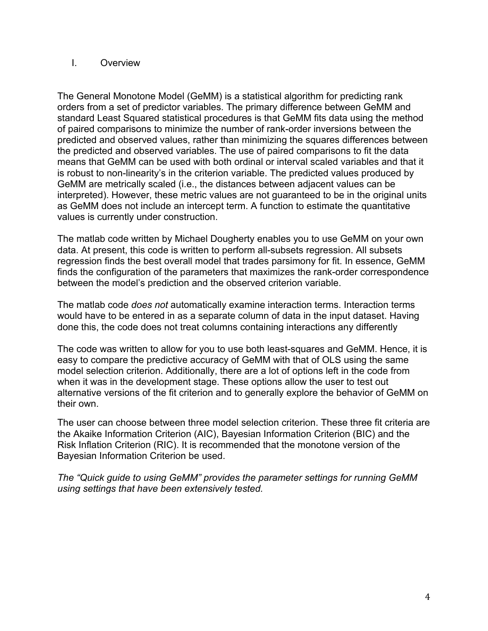# I. Overview

The General Monotone Model (GeMM) is a statistical algorithm for predicting rank orders from a set of predictor variables. The primary difference between GeMM and standard Least Squared statistical procedures is that GeMM fits data using the method of paired comparisons to minimize the number of rank-order inversions between the predicted and observed values, rather than minimizing the squares differences between the predicted and observed variables. The use of paired comparisons to fit the data means that GeMM can be used with both ordinal or interval scaled variables and that it is robust to non-linearity's in the criterion variable. The predicted values produced by GeMM are metrically scaled (i.e., the distances between adjacent values can be interpreted). However, these metric values are not guaranteed to be in the original units as GeMM does not include an intercept term. A function to estimate the quantitative values is currently under construction.

The matlab code written by Michael Dougherty enables you to use GeMM on your own data. At present, this code is written to perform all-subsets regression. All subsets regression finds the best overall model that trades parsimony for fit. In essence, GeMM finds the configuration of the parameters that maximizes the rank-order correspondence between the model's prediction and the observed criterion variable.

The matlab code *does not* automatically examine interaction terms. Interaction terms would have to be entered in as a separate column of data in the input dataset. Having done this, the code does not treat columns containing interactions any differently

The code was written to allow for you to use both least-squares and GeMM. Hence, it is easy to compare the predictive accuracy of GeMM with that of OLS using the same model selection criterion. Additionally, there are a lot of options left in the code from when it was in the development stage. These options allow the user to test out alternative versions of the fit criterion and to generally explore the behavior of GeMM on their own.

The user can choose between three model selection criterion. These three fit criteria are the Akaike Information Criterion (AIC), Bayesian Information Criterion (BIC) and the Risk Inflation Criterion (RIC). It is recommended that the monotone version of the Bayesian Information Criterion be used.

*The "Quick guide to using GeMM" provides the parameter settings for running GeMM using settings that have been extensively tested.*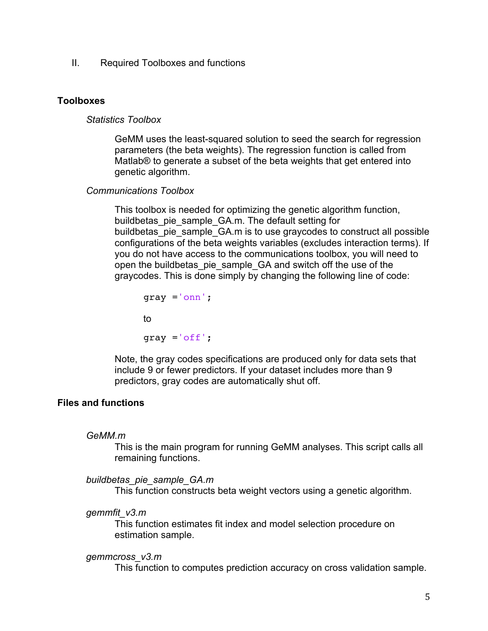II. Required Toolboxes and functions

## **Toolboxes**

## *Statistics Toolbox*

GeMM uses the least-squared solution to seed the search for regression parameters (the beta weights). The regression function is called from Matlab® to generate a subset of the beta weights that get entered into genetic algorithm.

## *Communications Toolbox*

This toolbox is needed for optimizing the genetic algorithm function, buildbetas pie\_sample\_GA.m. The default setting for buildbetas pie\_sample\_GA.m is to use graycodes to construct all possible configurations of the beta weights variables (excludes interaction terms). If you do not have access to the communications toolbox, you will need to open the buildbetas\_pie\_sample\_GA and switch off the use of the graycodes. This is done simply by changing the following line of code:

gray ='onn'; to  $gray = 'off';$ 

Note, the gray codes specifications are produced only for data sets that include 9 or fewer predictors. If your dataset includes more than 9 predictors, gray codes are automatically shut off.

# **Files and functions**

## *GeMM.m*

This is the main program for running GeMM analyses. This script calls all remaining functions.

## *buildbetas\_pie\_sample\_GA.m*

This function constructs beta weight vectors using a genetic algorithm.

## *gemmfit\_v3.m*

This function estimates fit index and model selection procedure on estimation sample.

## *gemmcross\_v3.m*

This function to computes prediction accuracy on cross validation sample.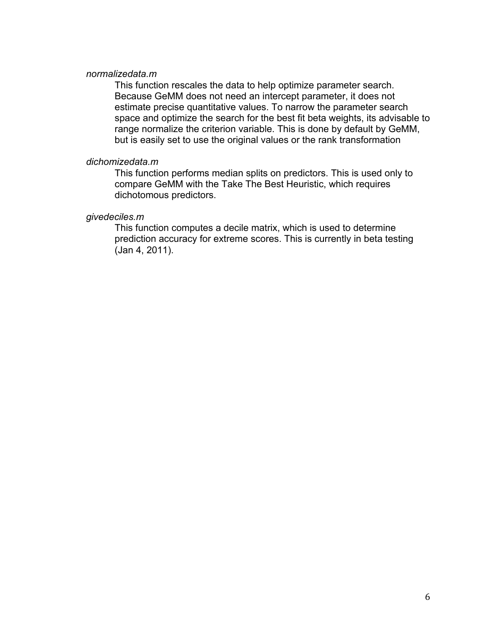#### *normalizedata.m*

This function rescales the data to help optimize parameter search. Because GeMM does not need an intercept parameter, it does not estimate precise quantitative values. To narrow the parameter search space and optimize the search for the best fit beta weights, its advisable to range normalize the criterion variable. This is done by default by GeMM, but is easily set to use the original values or the rank transformation

#### *dichomizedata.m*

This function performs median splits on predictors. This is used only to compare GeMM with the Take The Best Heuristic, which requires dichotomous predictors.

## *givedeciles.m*

This function computes a decile matrix, which is used to determine prediction accuracy for extreme scores. This is currently in beta testing (Jan 4, 2011).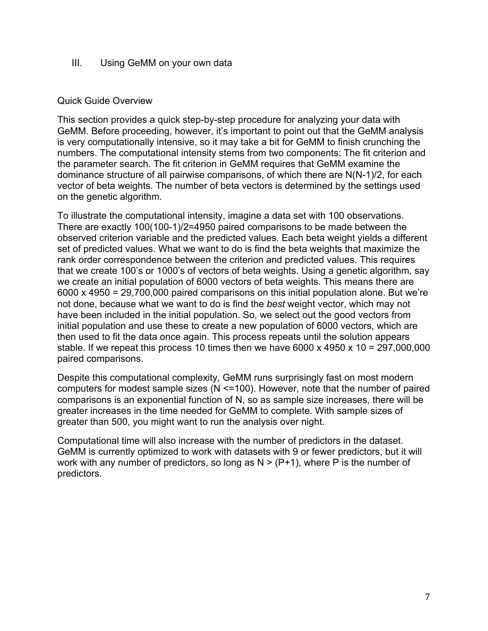# III. Using GeMM on your own data

# Quick Guide Overview

This section provides a quick step-by-step procedure for analyzing your data with GeMM. Before proceeding, however, it's important to point out that the GeMM analysis is very computationally intensive, so it may take a bit for GeMM to finish crunching the numbers. The computational intensity stems from two components: The fit criterion and the parameter search. The fit criterion in GeMM requires that GeMM examine the dominance structure of all pairwise comparisons, of which there are N(N-1)/2, for each vector of beta weights. The number of beta vectors is determined by the settings used on the genetic algorithm.

To illustrate the computational intensity, imagine a data set with 100 observations. There are exactly 100(100-1)/2=4950 paired comparisons to be made between the observed criterion variable and the predicted values. Each beta weight yields a different set of predicted values. What we want to do is find the beta weights that maximize the rank order correspondence between the criterion and predicted values. This requires that we create 100's or 1000's of vectors of beta weights. Using a genetic algorithm, say we create an initial population of 6000 vectors of beta weights. This means there are  $6000 \times 4950 = 29,700,000$  paired comparisons on this initial population alone. But we're not done, because what we want to do is find the *best* weight vector, which may not have been included in the initial population. So, we select out the good vectors from initial population and use these to create a new population of 6000 vectors, which are then used to fit the data once again. This process repeats until the solution appears stable. If we repeat this process 10 times then we have  $6000 \times 4950 \times 10 = 297,000,000$ paired comparisons.

Despite this computational complexity, GeMM runs surprisingly fast on most modern computers for modest sample sizes (N <=100). However, note that the number of paired comparisons is an exponential function of N, so as sample size increases, there will be greater increases in the time needed for GeMM to complete. With sample sizes of greater than 500, you might want to run the analysis over night.

Computational time will also increase with the number of predictors in the dataset. GeMM is currently optimized to work with datasets with 9 or fewer predictors, but it will work with any number of predictors, so long as  $N > (P+1)$ , where P is the number of predictors.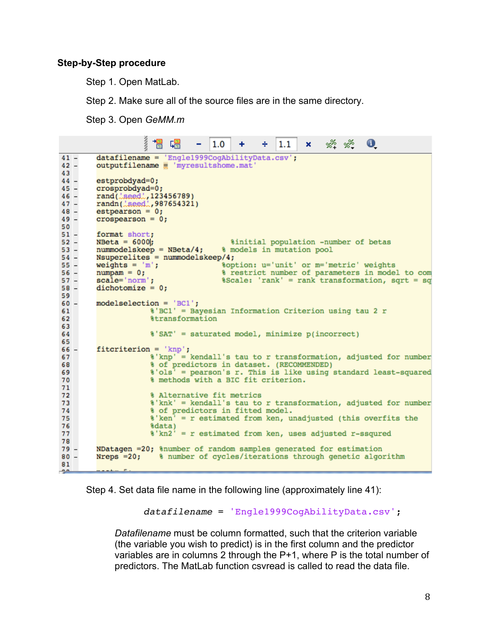## **Step-by-Step procedure**

Step 1. Open MatLab.

Step 2. Make sure all of the source files are in the same directory.

Step 3. Open *GeMM.m*

|                | ş<br>闇 唱<br>$\mathbf{0}$<br>$\times$ % % $\cdot$<br>1.0<br>$\div$ 1.1<br>$+$ $-$<br>- 1 |  |  |  |  |  |  |
|----------------|-----------------------------------------------------------------------------------------|--|--|--|--|--|--|
| $41 -$         | datafilename = 'Engle1999CogAbilityData.csv';                                           |  |  |  |  |  |  |
| $42 -$         | outputfilename www.matware.mat/                                                         |  |  |  |  |  |  |
| 43             |                                                                                         |  |  |  |  |  |  |
| $44 -$         | estprobdyad=0;                                                                          |  |  |  |  |  |  |
| $45 -$         | crosprobdyad=0;                                                                         |  |  |  |  |  |  |
| $46 -$         | rand( <i>LaeedL,</i> 123456789)                                                         |  |  |  |  |  |  |
| $47 -$         | randn( <i>Laeed.</i> , 987654321)                                                       |  |  |  |  |  |  |
| $48 -$         | $estpearson = 0;$                                                                       |  |  |  |  |  |  |
| $49 -$         | crospearson = $0$ ;                                                                     |  |  |  |  |  |  |
| 50             |                                                                                         |  |  |  |  |  |  |
| $51 -$         | format short;                                                                           |  |  |  |  |  |  |
| $52 -$         | $NBeta = 6000;$<br>%initial population -number of betas                                 |  |  |  |  |  |  |
| $53 -$         | $nummodelskeep = NBeta/4;$<br>% models in mutation pool                                 |  |  |  |  |  |  |
| $54 -$         | $Nsuperclites = nummodelskeep/4;$                                                       |  |  |  |  |  |  |
| $55 -$         | %option: u='unit' or m='metric' weights<br>weights = $'m'$ ;                            |  |  |  |  |  |  |
| 56 –           | % restrict number of parameters in model to com<br>$numpam = 0$ ;                       |  |  |  |  |  |  |
| $57 -$         | scale='norm';<br>%Scale: 'rank' = rank transformation, sqrt = sq                        |  |  |  |  |  |  |
| $58 -$         | $dichotomize = 0;$                                                                      |  |  |  |  |  |  |
| 59.            |                                                                                         |  |  |  |  |  |  |
| $60 -$         | $model selection = 'BC1';$                                                              |  |  |  |  |  |  |
| 61             | %'BC1' = Bayesian Information Criterion using tau 2 r                                   |  |  |  |  |  |  |
| 62             | <i><b>&amp;transformation</b></i>                                                       |  |  |  |  |  |  |
| 63             |                                                                                         |  |  |  |  |  |  |
| 64             | %'SAT' = saturated model, minimize p(incorrect)                                         |  |  |  |  |  |  |
| 65             |                                                                                         |  |  |  |  |  |  |
| $66 -$         | $fict criterion = 'knp';$                                                               |  |  |  |  |  |  |
| 67             | %'knp' = kendall's tau to r transformation, adjusted for number                         |  |  |  |  |  |  |
| 68             | % of predictors in dataset. (RECOMMENDED)                                               |  |  |  |  |  |  |
| 69             | %'ols' = pearson's r. This is like using standard least-squared                         |  |  |  |  |  |  |
| 70             | % methods with a BIC fit criterion.                                                     |  |  |  |  |  |  |
| 71             |                                                                                         |  |  |  |  |  |  |
| 72             | % Alternative fit metrics                                                               |  |  |  |  |  |  |
| 73             | %'knk' = kendall's tau to r transformation, adjusted for number                         |  |  |  |  |  |  |
| 74             | % of predictors in fitted model.                                                        |  |  |  |  |  |  |
| 75             | %'ken' = r estimated from ken, unadjusted (this overfits the                            |  |  |  |  |  |  |
| 76             | tdata)                                                                                  |  |  |  |  |  |  |
| 77             | %'kn2' = r estimated from ken, uses adjusted r-ssqured                                  |  |  |  |  |  |  |
| 78             |                                                                                         |  |  |  |  |  |  |
| $79 -$         | NDatagen =20; %number of random samples generated for estimation                        |  |  |  |  |  |  |
| $80 -$         | Nreps $=20$ ; $\frac{1}{2}$ number of cycles/iterations through genetic algorithm       |  |  |  |  |  |  |
| 81             |                                                                                         |  |  |  |  |  |  |
| $\overline{a}$ | ----- F.                                                                                |  |  |  |  |  |  |

Step 4. Set data file name in the following line (approximately line 41):

*datafilename* = 'Engle1999CogAbilityData.csv';

*Datafilename* must be column formatted, such that the criterion variable (the variable you wish to predict) is in the first column and the predictor variables are in columns 2 through the P+1, where P is the total number of predictors. The MatLab function csvread is called to read the data file.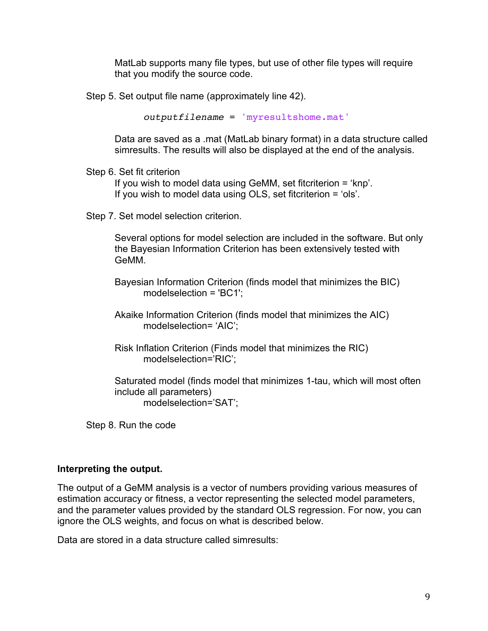MatLab supports many file types, but use of other file types will require that you modify the source code.

Step 5. Set output file name (approximately line 42).

*outputfilename* = 'myresultshome.mat'

Data are saved as a .mat (MatLab binary format) in a data structure called simresults. The results will also be displayed at the end of the analysis.

#### Step 6. Set fit criterion

If you wish to model data using GeMM, set fitcriterion = 'knp'. If you wish to model data using OLS, set fitcriterion = 'ols'.

Step 7. Set model selection criterion.

Several options for model selection are included in the software. But only the Bayesian Information Criterion has been extensively tested with GeMM.

Bayesian Information Criterion (finds model that minimizes the BIC) modelselection = 'BC1';

Akaike Information Criterion (finds model that minimizes the AIC) modelselection= 'AIC';

Risk Inflation Criterion (Finds model that minimizes the RIC) modelselection='RIC';

Saturated model (finds model that minimizes 1-tau, which will most often include all parameters) modelselection='SAT';

Step 8. Run the code

## **Interpreting the output.**

The output of a GeMM analysis is a vector of numbers providing various measures of estimation accuracy or fitness, a vector representing the selected model parameters, and the parameter values provided by the standard OLS regression. For now, you can ignore the OLS weights, and focus on what is described below.

Data are stored in a data structure called simresults: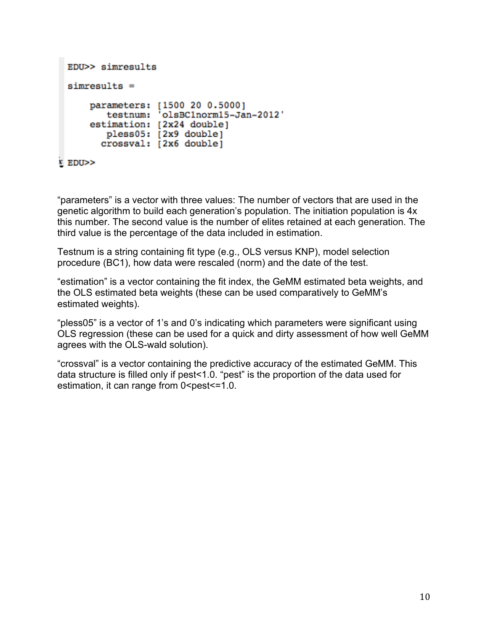```
EDU>> simresults
 simresults =
     parameters: [1500 20 0.5000]
        testnum: 'olsBC1norm15-Jan-2012'
     estimation: [2x24 double]
        pless05: [2x9 double]
       crossval: [2x6 double]
EDU>>
```
"parameters" is a vector with three values: The number of vectors that are used in the genetic algorithm to build each generation's population. The initiation population is 4x this number. The second value is the number of elites retained at each generation. The third value is the percentage of the data included in estimation.

Testnum is a string containing fit type (e.g., OLS versus KNP), model selection procedure (BC1), how data were rescaled (norm) and the date of the test.

"estimation" is a vector containing the fit index, the GeMM estimated beta weights, and the OLS estimated beta weights (these can be used comparatively to GeMM's estimated weights).

"pless05" is a vector of 1's and 0's indicating which parameters were significant using OLS regression (these can be used for a quick and dirty assessment of how well GeMM agrees with the OLS-wald solution).

"crossval" is a vector containing the predictive accuracy of the estimated GeMM. This data structure is filled only if pest<1.0. "pest" is the proportion of the data used for estimation, it can range from 0 <pest <= 1.0.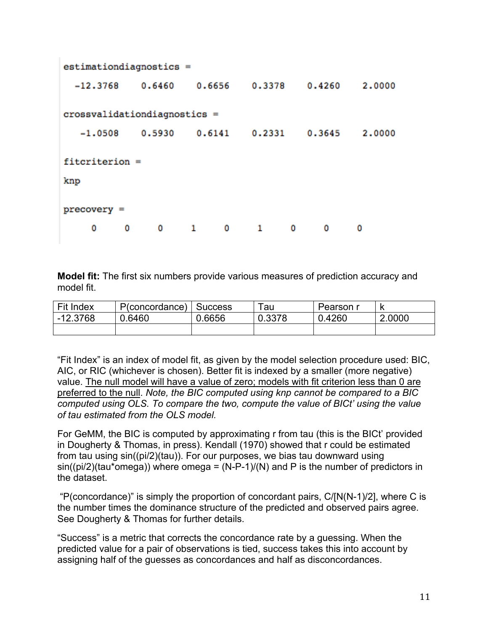```
estimationdiagnostics =0.6460
                         0.6656
                                   0.3378
                                              0.4260
                                                        2,0000
  -12.3768cross validation diagrams =0.5930
                                   0.23310.3645
   -1.05080.6141
                                                        2,0000
fitcriterion =
knp
precovery =0
           0
                 \mathbf{0}1\mathbf{0}\mathbf{1}0
                                                 0
                                                       0
```
**Model fit:** The first six numbers provide various measures of prediction accuracy and model fit.

| Fit Index  | P(concordance)   Success |        | au     | Pearson r |        |
|------------|--------------------------|--------|--------|-----------|--------|
| $-12.3768$ | 0.6460                   | 0.6656 | 0.3378 | 0.4260    | 2.0000 |
|            |                          |        |        |           |        |

"Fit Index" is an index of model fit, as given by the model selection procedure used: BIC, AIC, or RIC (whichever is chosen). Better fit is indexed by a smaller (more negative) value. The null model will have a value of zero; models with fit criterion less than 0 are preferred to the null. *Note, the BIC computed using knp cannot be compared to a BIC computed using OLS. To compare the two, compute the value of BICt' using the value of tau estimated from the OLS model.*

For GeMM, the BIC is computed by approximating r from tau (this is the BICt' provided in Dougherty & Thomas, in press). Kendall (1970) showed that r could be estimated from tau using sin((pi/2)(tau)). For our purposes, we bias tau downward using  $sin((pi/2)(tau*omega))$  where omega =  $(N-P-1)/(N)$  and P is the number of predictors in the dataset.

"P(concordance)" is simply the proportion of concordant pairs,  $C/[N(N-1)/2]$ , where C is the number times the dominance structure of the predicted and observed pairs agree. See Dougherty & Thomas for further details.

"Success" is a metric that corrects the concordance rate by a guessing. When the predicted value for a pair of observations is tied, success takes this into account by assigning half of the guesses as concordances and half as disconcordances.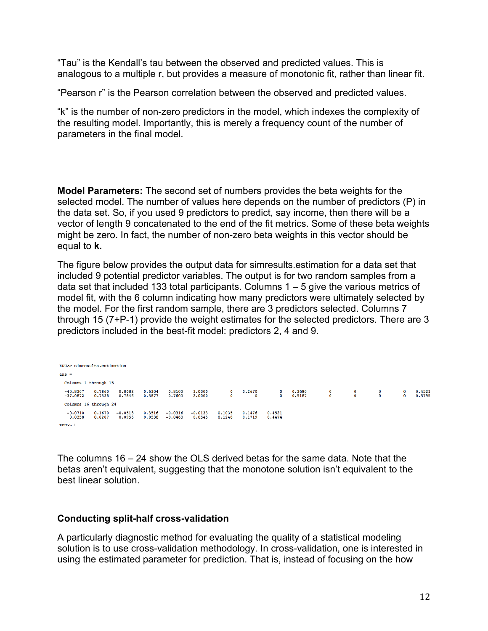"Tau" is the Kendall's tau between the observed and predicted values. This is analogous to a multiple r, but provides a measure of monotonic fit, rather than linear fit.

"Pearson r" is the Pearson correlation between the observed and predicted values.

"k" is the number of non-zero predictors in the model, which indexes the complexity of the resulting model. Importantly, this is merely a frequency count of the number of parameters in the final model.

**Model Parameters:** The second set of numbers provides the beta weights for the selected model. The number of values here depends on the number of predictors (P) in the data set. So, if you used 9 predictors to predict, say income, then there will be a vector of length 9 concatenated to the end of the fit metrics. Some of these beta weights might be zero. In fact, the number of non-zero beta weights in this vector should be equal to **k.**

The figure below provides the output data for simresults.estimation for a data set that included 9 potential predictor variables. The output is for two random samples from a data set that included 133 total participants. Columns 1 – 5 give the various metrics of model fit, with the 6 column indicating how many predictors were ultimately selected by the model. For the first random sample, there are 3 predictors selected. Columns 7 through 15 (7+P-1) provide the weight estimates for the selected predictors. There are 3 predictors included in the best-fit model: predictors 2, 4 and 9.

EDU>> simresults.estimation ans  $=$ Columns 1 through 15  $0.6304$ <br> $0.5877$  $0.8103$ <br> $0.7603$  $3.0000$ <br> $2.0000$ 0.2670  $0.3690$ <br>0.5187  $\begin{matrix}0&0\\0&0\end{matrix}$  $0.4521$ <br> $0.5795$  $\frac{0}{0}$  $\frac{0}{0}$ Columns 16 through 24  $-0.0710$   $0.1670$   $-0.0518$ <br>0.0358 0.0207 0.0956  $\begin{array}{cccc} 0.3516 & -0.0316 & -0.0133 & 0.1035 & 0.1476 \\ 0.0538 & -0.0463 & 0.0545 & 0.1248 & 0.1719 \end{array}$  $0.4521$ <br> $0.4474$ **RDIDS** 1

The columns 16 – 24 show the OLS derived betas for the same data. Note that the betas aren't equivalent, suggesting that the monotone solution isn't equivalent to the best linear solution.

# **Conducting split-half cross-validation**

A particularly diagnostic method for evaluating the quality of a statistical modeling solution is to use cross-validation methodology. In cross-validation, one is interested in using the estimated parameter for prediction. That is, instead of focusing on the how